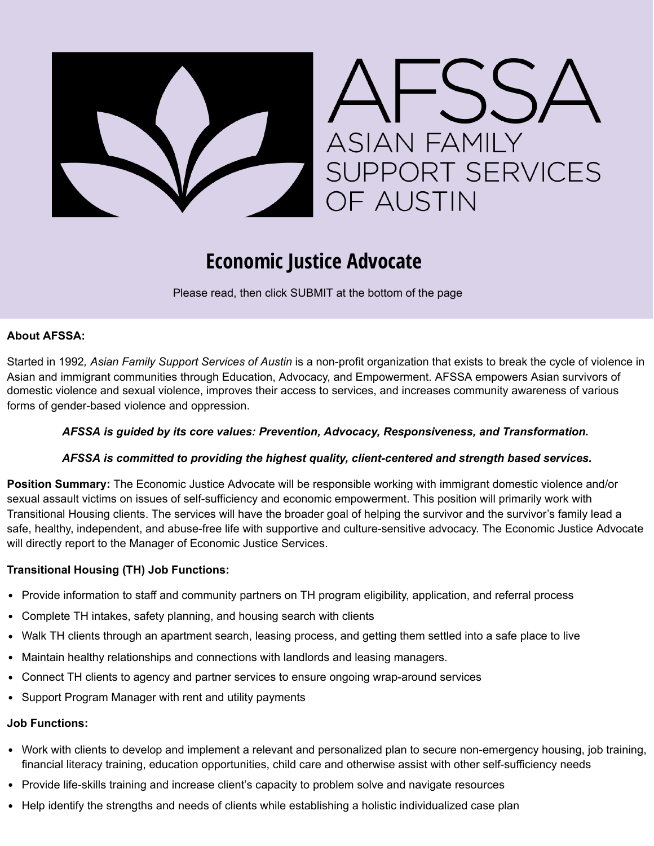

# **Economic Justice Advocate**

Please read, then click SUBMIT at the bottom of the page

# **About AFSSA:**

Started in 1992*, Asian Family Support Services of Austin* is a non-profit organization that exists to break the cycle of violence in Asian and immigrant communities through Education, Advocacy, and Empowerment. AFSSA empowers Asian survivors of domestic violence and sexual violence, improves their access to services, and increases community awareness of various forms of gender-based violence and oppression.

## *AFSSA is guided by its core values: Prevention, Advocacy, Responsiveness, and Transformation.*

## *AFSSA is committed to providing the highest quality, client-centered and strength based services.*

**Position Summary:** The Economic Justice Advocate will be responsible working with immigrant domestic violence and/or sexual assault victims on issues of self-sufficiency and economic empowerment. This position will primarily work with Transitional Housing clients. The services will have the broader goal of helping the survivor and the survivor's family lead a safe, healthy, independent, and abuse-free life with supportive and culture-sensitive advocacy. The Economic Justice Advocate will directly report to the Manager of Economic Justice Services.

## **Transitional Housing (TH) Job Functions:**

- Provide information to staff and community partners on TH program eligibility, application, and referral process
- Complete TH intakes, safety planning, and housing search with clients
- Walk TH clients through an apartment search, leasing process, and getting them settled into a safe place to live
- Maintain healthy relationships and connections with landlords and leasing managers.
- Connect TH clients to agency and partner services to ensure ongoing wrap-around services
- Support Program Manager with rent and utility payments

#### **Job Functions:**

- Work with clients to develop and implement a relevant and personalized plan to secure non-emergency housing, job training, financial literacy training, education opportunities, child care and otherwise assist with other self-sufficiency needs
- Provide life-skills training and increase client's capacity to problem solve and navigate resources
- Help identify the strengths and needs of clients while establishing a holistic individualized case plan